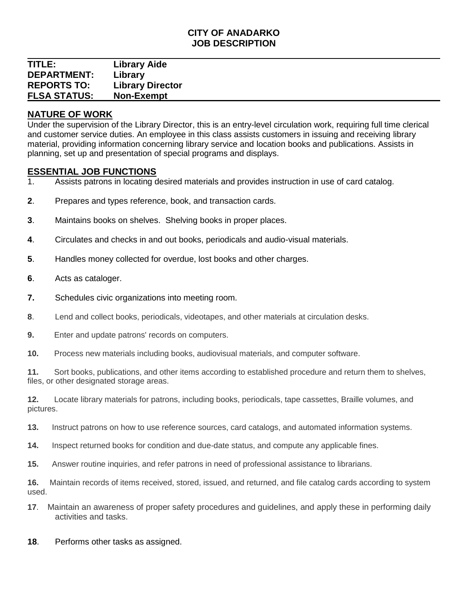## **CITY OF ANADARKO JOB DESCRIPTION**

## **TITLE: Library Aide DEPARTMENT: Library REPORTS TO: Library Director FLSA STATUS: Non-Exempt**

# **NATURE OF WORK**

Under the supervision of the Library Director, this is an entry-level circulation work, requiring full time clerical and customer service duties. An employee in this class assists customers in issuing and receiving library material, providing information concerning library service and location books and publications. Assists in planning, set up and presentation of special programs and displays.

# **ESSENTIAL JOB FUNCTIONS**

- 1. Assists patrons in locating desired materials and provides instruction in use of card catalog.
- **2**. Prepares and types reference, book, and transaction cards.
- **3**. Maintains books on shelves. Shelving books in proper places.
- **4**. Circulates and checks in and out books, periodicals and audio-visual materials.
- **5**. Handles money collected for overdue, lost books and other charges.
- **6**. Acts as cataloger.
- **7.** Schedules civic organizations into meeting room.
- **8**. Lend and collect books, periodicals, videotapes, and other materials at circulation desks.
- **9.** Enter and update patrons' records on computers.
- **10.** Process new materials including books, audiovisual materials, and computer software.

**11.** Sort books, publications, and other items according to established procedure and return them to shelves, files, or other designated storage areas.

**12.** Locate library materials for patrons, including books, periodicals, tape cassettes, Braille volumes, and pictures.

- **13.** Instruct patrons on how to use reference sources, card catalogs, and automated information systems.
- **14.** Inspect returned books for condition and due-date status, and compute any applicable fines.
- **15.** Answer routine inquiries, and refer patrons in need of professional assistance to librarians.

**16.** Maintain records of items received, stored, issued, and returned, and file catalog cards according to system used.

- **17**. Maintain an awareness of proper safety procedures and guidelines, and apply these in performing daily activities and tasks.
- **18**. Performs other tasks as assigned.